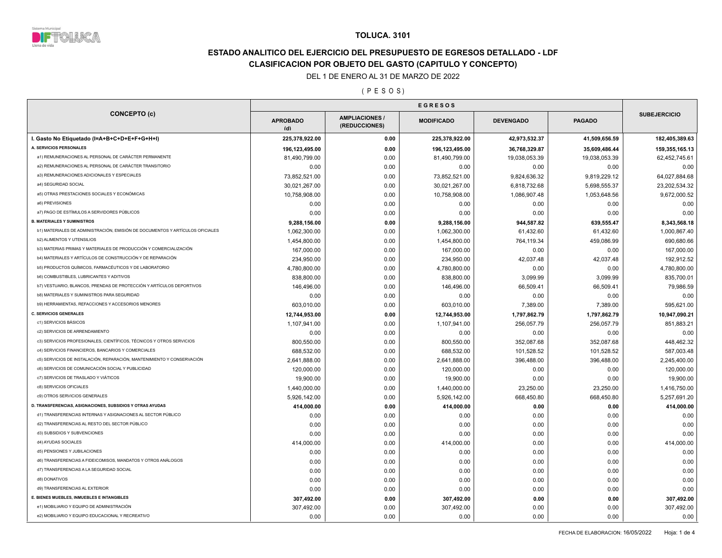

# **ESTADO ANALITICO DEL EJERCICIO DEL PRESUPUESTO DE EGRESOS DETALLADO - LDF CLASIFICACION POR OBJETO DEL GASTO (CAPITULO Y CONCEPTO)**

#### DEL 1 DE ENERO AL 31 DE MARZO DE 2022

( P E S O S )

| <b>CONCEPTO (c)</b>                                                           | <b>APROBADO</b><br>(d)   | <b>AMPLIACIONES/</b><br>(REDUCCIONES) | <b>MODIFICADO</b>        | <b>DEVENGADO</b> | <b>PAGADO</b> | <b>SUBEJERCICIO</b>      |
|-------------------------------------------------------------------------------|--------------------------|---------------------------------------|--------------------------|------------------|---------------|--------------------------|
| I. Gasto No Etiquetado (I=A+B+C+D+E+F+G+H+I)                                  | 225,378,922.00           | 0.00                                  | 225,378,922.00           | 42,973,532.37    | 41,509,656.59 | 182,405,389.63           |
| A. SERVICIOS PERSONALES                                                       | 196,123,495.00           | 0.00                                  | 196,123,495.00           | 36,768,329.87    | 35,609,486.44 | 159, 355, 165. 13        |
| a1) REMUNERACIONES AL PERSONAL DE CARÁCTER PERMANENTE                         | 81,490,799.00            | 0.00                                  | 81,490,799.00            | 19,038,053.39    | 19,038,053.39 | 62,452,745.61            |
| a2) REMUNERACIONES AL PERSONAL DE CARÁCTER TRANSITORIO                        | 0.00                     | 0.00                                  | 0.00                     | 0.00             | 0.00          | 0.00                     |
| a3) REMUNERACIONES ADICIONALES Y ESPECIALES                                   | 73,852,521.00            | 0.00                                  | 73,852,521.00            | 9,824,636.32     | 9,819,229.12  | 64,027,884.68            |
| a4) SEGURIDAD SOCIAL                                                          | 30,021,267.00            | 0.00                                  | 30,021,267.00            | 6,818,732.68     | 5,698,555.37  | 23,202,534.32            |
| a5) OTRAS PRESTACIONES SOCIALES Y ECONÓMICAS                                  | 10,758,908.00            | 0.00                                  | 10,758,908.00            | 1,086,907.48     | 1,053,648.56  | 9,672,000.52             |
| a6) PREVISIONES                                                               | 0.00                     | 0.00                                  | 0.00                     | 0.00             | 0.00          | 0.00                     |
| a7) PAGO DE ESTÍMULOS A SERVIDORES PÚBLICOS                                   | 0.00                     | 0.00                                  | 0.00                     | 0.00             | 0.00          | 0.00                     |
| <b>B. MATERIALES Y SUMINISTROS</b>                                            | 9,288,156.00             | 0.00                                  | 9,288,156.00             | 944,587.82       | 639,555.47    | 8,343,568.18             |
| b1) MATERIALES DE ADMINISTRACIÓN, EMISIÓN DE DOCUMENTOS Y ARTÍCULOS OFICIALES | 1,062,300.00             | 0.00                                  | 1,062,300.00             | 61,432.60        | 61,432.60     | 1,000,867.40             |
| <b>b2) ALIMENTOS Y UTENSILIOS</b>                                             | 1,454,800.00             | 0.00                                  | 1,454,800.00             | 764,119.34       | 459,086.99    | 690,680.66               |
| b3) MATERIAS PRIMAS Y MATERIALES DE PRODUCCIÓN Y COMERCIALIZACIÓN             | 167,000.00               | 0.00                                  | 167,000.00               | 0.00             | 0.00          | 167,000.00               |
| b4) MATERIALES Y ARTÍCULOS DE CONSTRUCCIÓN Y DE REPARACIÓN                    | 234,950.00               | 0.00                                  | 234,950.00               | 42,037.48        | 42,037.48     | 192,912.52               |
| b5) PRODUCTOS QUÍMICOS, FARMACÉUTICOS Y DE LABORATORIO                        | 4,780,800.00             | 0.00                                  | 4,780,800.00             | 0.00             | 0.00          | 4,780,800.00             |
| b6) COMBUSTIBLES, LUBRICANTES Y ADITIVOS                                      | 838,800.00               | 0.00                                  | 838,800.00               | 3,099.99         | 3,099.99      | 835,700.01               |
| b7) VESTUARIO, BLANCOS, PRENDAS DE PROTECCIÓN Y ARTÍCULOS DEPORTIVOS          | 146,496.00               | 0.00                                  | 146,496.00               | 66,509.41        | 66,509.41     | 79,986.59                |
| b8) MATERIALES Y SUMINISTROS PARA SEGURIDAD                                   | 0.00                     | 0.00                                  | 0.00                     | 0.00             | 0.00          | 0.00                     |
| b9) HERRAMIENTAS, REFACCIONES Y ACCESORIOS MENORES                            | 603,010.00               | 0.00                                  | 603,010.00               | 7,389.00         | 7,389.00      | 595,621.00               |
| <b>C. SERVICIOS GENERALES</b>                                                 | 12,744,953.00            | 0.00                                  | 12,744,953.00            | 1,797,862.79     | 1,797,862.79  | 10,947,090.21            |
| c1) SERVICIOS BÁSICOS                                                         | 1,107,941.00             | 0.00                                  | 1,107,941.00             | 256,057.79       | 256,057.79    | 851,883.21               |
| c2) SERVICIOS DE ARRENDAMIENTO                                                | 0.00                     | 0.00                                  | 0.00                     | 0.00             | 0.00          | 0.00                     |
| c3) SERVICIOS PROFESIONALES, CIENTÍFICOS, TÉCNICOS Y OTROS SERVICIOS          | 800,550.00               | 0.00                                  | 800,550.00               | 352,087.68       | 352,087.68    | 448,462.32               |
| c4) SERVICIOS FINANCIEROS, BANCARIOS Y COMERCIALES                            | 688,532.00               | 0.00                                  | 688,532.00               | 101,528.52       | 101,528.52    | 587,003.48               |
| c5) SERVICIOS DE INSTALACIÓN, REPARACIÓN, MANTENIMIENTO Y CONSERVACIÓN        | 2,641,888.00             | 0.00                                  | 2,641,888.00             | 396,488.00       | 396,488.00    | 2,245,400.00             |
| c6) SERVICIOS DE COMUNICACIÓN SOCIAL Y PUBLICIDAD                             | 120,000.00               | 0.00                                  | 120,000.00               | 0.00             | 0.00          | 120,000.00               |
| c7) SERVICIOS DE TRASLADO Y VIÁTICOS                                          | 19,900.00                | 0.00                                  | 19,900.00                | 0.00             | 0.00          | 19,900.00                |
| c8) SERVICIOS OFICIALES                                                       | 1,440,000.00             | 0.00                                  | 1,440,000.00             | 23,250.00        | 23,250.00     | 1,416,750.00             |
| c9) OTROS SERVICIOS GENERALES                                                 | 5,926,142.00             | 0.00                                  | 5,926,142.00             | 668,450.80       | 668,450.80    | 5,257,691.20             |
| D. TRANSFERENCIAS, ASIGNACIONES, SUBSIDIOS Y OTRAS AYUDAS                     | 414,000.00               | 0.00                                  | 414,000.00               | 0.00             | 0.00          | 414,000.00               |
| d1) TRANSFERENCIAS INTERNAS Y ASIGNACIONES AL SECTOR PÚBLICO                  | 0.00                     | 0.00                                  | 0.00                     | 0.00             | 0.00          | 0.00                     |
| d2) TRANSFERENCIAS AL RESTO DEL SECTOR PÚBLICO                                | 0.00                     | 0.00                                  | 0.00                     | 0.00             | 0.00          | 0.00                     |
| d3) SUBSIDIOS Y SUBVENCIONES                                                  | 0.00                     | 0.00                                  | 0.00                     | 0.00             | 0.00          | 0.00                     |
| d4) AYUDAS SOCIALES                                                           | 414,000.00               | 0.00                                  | 414,000.00               | 0.00             | 0.00          | 414,000.00               |
| d5) PENSIONES Y JUBILACIONES                                                  | 0.00                     | 0.00                                  | 0.00                     | 0.00             | 0.00          | 0.00                     |
| d6) TRANSFERENCIAS A FIDEICOMISOS, MANDATOS Y OTROS ANÁLOGOS                  | 0.00                     | 0.00                                  | 0.00                     | 0.00             | 0.00          | 0.00                     |
| d7) TRANSFERENCIAS A LA SEGURIDAD SOCIAL                                      | 0.00                     | 0.00                                  | 0.00                     | 0.00             | 0.00          | 0.00                     |
| d8) DONATIVOS                                                                 | 0.00                     | 0.00                                  | 0.00                     | 0.00             | 0.00          | 0.00                     |
|                                                                               |                          |                                       |                          |                  |               |                          |
| d9) TRANSFERENCIAS AL EXTERIOR                                                |                          |                                       |                          |                  |               |                          |
| E. BIENES MUEBLES, INMUEBLES E INTANGIBLES                                    | 0.00                     | 0.00                                  | 0.00                     | 0.00             | 0.00          | 0.00                     |
| e1) MOBILIARIO Y EQUIPO DE ADMINISTRACIÓN                                     | 307,492.00<br>307,492.00 | 0.00<br>0.00                          | 307,492.00<br>307,492.00 | 0.00<br>0.00     | 0.00<br>0.00  | 307,492.00<br>307,492.00 |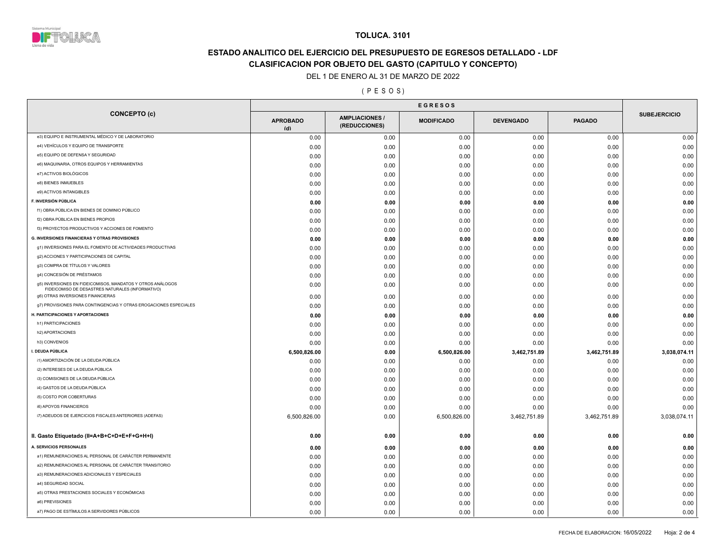

# **ESTADO ANALITICO DEL EJERCICIO DEL PRESUPUESTO DE EGRESOS DETALLADO - LDF CLASIFICACION POR OBJETO DEL GASTO (CAPITULO Y CONCEPTO)**

DEL 1 DE ENERO AL 31 DE MARZO DE 2022

( P E S O S )

| <b>CONCEPTO (c)</b>                                                                                            |                        |                                        |                   |                  |               |                     |
|----------------------------------------------------------------------------------------------------------------|------------------------|----------------------------------------|-------------------|------------------|---------------|---------------------|
|                                                                                                                | <b>APROBADO</b><br>(d) | <b>AMPLIACIONES /</b><br>(REDUCCIONES) | <b>MODIFICADO</b> | <b>DEVENGADO</b> | <b>PAGADO</b> | <b>SUBEJERCICIO</b> |
| e3) EQUIPO E INSTRUMENTAL MÉDICO Y DE LABORATORIO                                                              | 0.00                   | 0.00                                   | 0.00              | 0.00             | 0.00          | 0.00                |
| e4) VEHÍCULOS Y EQUIPO DE TRANSPORTE                                                                           | 0.00                   | 0.00                                   | 0.00              | 0.00             | 0.00          | 0.00                |
| e5) EQUIPO DE DEFENSA Y SEGURIDAD                                                                              | 0.00                   | 0.00                                   | 0.00              | 0.00             | 0.00          | 0.00                |
| e6) MAQUINARIA, OTROS EQUIPOS Y HERRAMIENTAS                                                                   | 0.00                   | 0.00                                   | 0.00              | 0.00             | 0.00          | 0.00                |
| e7) ACTIVOS BIOLÓGICOS                                                                                         | 0.00                   | 0.00                                   | 0.00              | 0.00             | 0.00          | 0.00                |
| e8) BIENES INMUEBLES                                                                                           | 0.00                   | 0.00                                   | 0.00              | 0.00             | 0.00          | 0.00                |
| e9) ACTIVOS INTANGIBLES                                                                                        | 0.00                   | 0.00                                   | 0.00              | 0.00             | 0.00          | 0.00                |
| F. INVERSIÓN PÚBLICA                                                                                           | 0.00                   | 0.00                                   | 0.00              | 0.00             | 0.00          | 0.00                |
| f1) OBRA PÚBLICA EN BIENES DE DOMINIO PÚBLICO                                                                  | 0.00                   | 0.00                                   | 0.00              | 0.00             | 0.00          | 0.00                |
| f2) OBRA PÚBLICA EN BIENES PROPIOS                                                                             | 0.00                   | 0.00                                   | 0.00              | 0.00             | 0.00          | 0.00                |
| f3) PROYECTOS PRODUCTIVOS Y ACCIONES DE FOMENTO                                                                | 0.00                   | 0.00                                   | 0.00              | 0.00             | 0.00          | 0.00                |
| <b>G. INVERSIONES FINANCIERAS Y OTRAS PROVISIONES</b>                                                          | 0.00                   | 0.00                                   | 0.00              | 0.00             | 0.00          | 0.00                |
| g1) INVERSIONES PARA EL FOMENTO DE ACTIVIDADES PRODUCTIVAS                                                     | 0.00                   | 0.00                                   | 0.00              | 0.00             | 0.00          | 0.00                |
| g2) ACCIONES Y PARTICIPACIONES DE CAPITAL                                                                      | 0.00                   | 0.00                                   | 0.00              | 0.00             | 0.00          | 0.00                |
| g3) COMPRA DE TÍTULOS Y VALORES                                                                                | 0.00                   | 0.00                                   | 0.00              | 0.00             | 0.00          | 0.00                |
| g4) CONCESIÓN DE PRÉSTAMOS                                                                                     | 0.00                   | 0.00                                   | 0.00              | 0.00             | 0.00          | 0.00                |
| g5) INVERSIONES EN FIDEICOMISOS, MANDATOS Y OTROS ANÁLOGOS<br>FIDEICOMISO DE DESASTRES NATURALES (INFORMATIVO) | 0.00                   | 0.00                                   | 0.00              | 0.00             | 0.00          | 0.00                |
| g6) OTRAS INVERSIONES FINANCIERAS                                                                              | 0.00                   | 0.00                                   | 0.00              | 0.00             | 0.00          | 0.00                |
| g7) PROVISIONES PARA CONTINGENCIAS Y OTRAS EROGACIONES ESPECIALES                                              | 0.00                   | 0.00                                   | 0.00              | 0.00             | 0.00          | 0.00                |
| H. PARTICIPACIONES Y APORTACIONES                                                                              | 0.00                   | 0.00                                   | 0.00              | 0.00             | 0.00          | 0.00                |
| h1) PARTICIPACIONES                                                                                            | 0.00                   | 0.00                                   | 0.00              | 0.00             | 0.00          | 0.00                |
| h2) APORTACIONES                                                                                               | 0.00                   | 0.00                                   | 0.00              | 0.00             | 0.00          | 0.00                |
| h3) CONVENIOS                                                                                                  | 0.00                   | 0.00                                   | 0.00              | 0.00             | 0.00          | 0.00                |
| I. DEUDA PÚBLICA                                                                                               | 6,500,826.00           | 0.00                                   | 6,500,826.00      | 3,462,751.89     | 3,462,751.89  | 3,038,074.11        |
| i1) AMORTIZACIÓN DE LA DEUDA PÚBLICA                                                                           | 0.00                   | 0.00                                   | 0.00              | 0.00             | 0.00          | 0.00                |
| i2) INTERESES DE LA DEUDA PÚBLICA                                                                              | 0.00                   | 0.00                                   | 0.00              | 0.00             | 0.00          | 0.00                |
| i3) COMISIONES DE LA DEUDA PÚBLICA                                                                             | 0.00                   | 0.00                                   | 0.00              | 0.00             | 0.00          | 0.00                |
| i4) GASTOS DE LA DEUDA PÚBLICA                                                                                 | 0.00                   | 0.00                                   | 0.00              | 0.00             | 0.00          | 0.00                |
| i5) COSTO POR COBERTURAS                                                                                       | 0.00                   | 0.00                                   | 0.00              | 0.00             | 0.00          | 0.00                |
| i6) APOYOS FINANCIEROS                                                                                         | 0.00                   | 0.00                                   | 0.00              | 0.00             | 0.00          | 0.00                |
| i7) ADEUDOS DE EJERCICIOS FISCALES ANTERIORES (ADEFAS)                                                         | 6,500,826.00           | 0.00                                   | 6,500,826.00      | 3,462,751.89     | 3,462,751.89  | 3,038,074.11        |
| II. Gasto Etiquetado (II=A+B+C+D+E+F+G+H+I)                                                                    | 0.00                   | 0.00                                   | 0.00              | 0.00             | 0.00          | 0.00                |
| A. SERVICIOS PERSONALES                                                                                        | 0.00                   | 0.00                                   | 0.00              | 0.00             | 0.00          | 0.00                |
| a1) REMUNERACIONES AL PERSONAL DE CARÁCTER PERMANENTE                                                          | 0.00                   | 0.00                                   | 0.00              | 0.00             | 0.00          | 0.00                |
| a2) REMUNERACIONES AL PERSONAL DE CARÁCTER TRANSITORIO                                                         | 0.00                   | 0.00                                   | 0.00              | 0.00             | 0.00          | 0.00                |
| a3) REMUNERACIONES ADICIONALES Y ESPECIALES                                                                    | 0.00                   | 0.00                                   | 0.00              | 0.00             | 0.00          | 0.00                |
| a4) SEGURIDAD SOCIAL                                                                                           | 0.00                   | 0.00                                   | 0.00              | 0.00             | 0.00          | 0.00                |
| a5) OTRAS PRESTACIONES SOCIALES Y ECONÓMICAS                                                                   | 0.00                   | 0.00                                   | 0.00              | 0.00             | 0.00          | 0.00                |
| a6) PREVISIONES                                                                                                | 0.00                   | 0.00                                   | 0.00              | 0.00             | 0.00          | 0.00                |
| a7) PAGO DE ESTÍMULOS A SERVIDORES PÚBLICOS                                                                    | 0.00                   | 0.00                                   | 0.00              | 0.00             | 0.00          | 0.00                |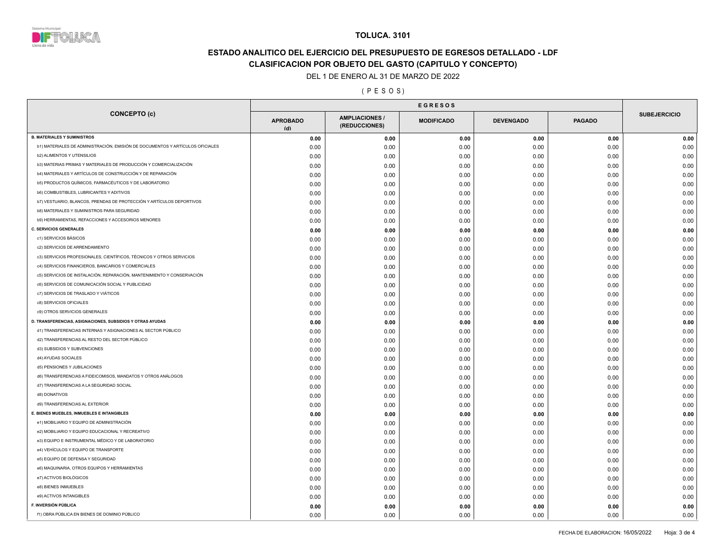

# **ESTADO ANALITICO DEL EJERCICIO DEL PRESUPUESTO DE EGRESOS DETALLADO - LDF CLASIFICACION POR OBJETO DEL GASTO (CAPITULO Y CONCEPTO)**

#### DEL 1 DE ENERO AL 31 DE MARZO DE 2022

#### ( P E S O S )

| <b>CONCEPTO (c)</b>                                                           |                        |                                        |                   |                  |               |                     |
|-------------------------------------------------------------------------------|------------------------|----------------------------------------|-------------------|------------------|---------------|---------------------|
|                                                                               | <b>APROBADO</b><br>(d) | <b>AMPLIACIONES /</b><br>(REDUCCIONES) | <b>MODIFICADO</b> | <b>DEVENGADO</b> | <b>PAGADO</b> | <b>SUBEJERCICIO</b> |
| <b>B. MATERIALES Y SUMINISTROS</b>                                            | 0.00                   | 0.00                                   | 0.00              | 0.00             | 0.00          | 0.00                |
| b1) MATERIALES DE ADMINISTRACIÓN, EMISIÓN DE DOCUMENTOS Y ARTÍCULOS OFICIALES | 0.00                   | 0.00                                   | 0.00              | 0.00             | 0.00          | 0.00                |
| <b>b2) ALIMENTOS Y UTENSILIOS</b>                                             | 0.00                   | 0.00                                   | 0.00              | 0.00             | 0.00          | 0.00                |
| b3) MATERIAS PRIMAS Y MATERIALES DE PRODUCCIÓN Y COMERCIALIZACIÓN             | 0.00                   | 0.00                                   | 0.00              | 0.00             | 0.00          | 0.00                |
| b4) MATERIALES Y ARTÍCULOS DE CONSTRUCCIÓN Y DE REPARACIÓN                    | 0.00                   | 0.00                                   | 0.00              | 0.00             | 0.00          | 0.00                |
| b5) PRODUCTOS QUÍMICOS, FARMACÉUTICOS Y DE LABORATORIO                        | 0.00                   | 0.00                                   | 0.00              | 0.00             | 0.00          | 0.00                |
| b6) COMBUSTIBLES, LUBRICANTES Y ADITIVOS                                      | 0.00                   | 0.00                                   | 0.00              | 0.00             | 0.00          | 0.00                |
| b7) VESTUARIO, BLANCOS, PRENDAS DE PROTECCIÓN Y ARTÍCULOS DEPORTIVOS          | 0.00                   | 0.00                                   | 0.00              | 0.00             | 0.00          | 0.00                |
| b8) MATERIALES Y SUMINISTROS PARA SEGURIDAD                                   | 0.00                   | 0.00                                   | 0.00              | 0.00             | 0.00          | 0.00                |
| b9) HERRAMIENTAS, REFACCIONES Y ACCESORIOS MENORES                            | 0.00                   | 0.00                                   | 0.00              | 0.00             | 0.00          | 0.00                |
| <b>C. SERVICIOS GENERALES</b>                                                 | 0.00                   | 0.00                                   | 0.00              | 0.00             | 0.00          | 0.00                |
| c1) SERVICIOS BÁSICOS                                                         | 0.00                   | 0.00                                   | 0.00              | 0.00             | 0.00          | 0.00                |
| c2) SERVICIOS DE ARRENDAMIENTO                                                | 0.00                   | 0.00                                   | 0.00              | 0.00             | 0.00          | 0.00                |
| c3) SERVICIOS PROFESIONALES, CIENTÍFICOS, TÉCNICOS Y OTROS SERVICIOS          | 0.00                   | 0.00                                   | 0.00              | 0.00             | 0.00          | 0.00                |
| c4) SERVICIOS FINANCIEROS, BANCARIOS Y COMERCIALES                            | 0.00                   | 0.00                                   | 0.00              | 0.00             | 0.00          | 0.00                |
| c5) SERVICIOS DE INSTALACIÓN, REPARACIÓN, MANTENIMIENTO Y CONSERVACIÓN        | 0.00                   | 0.00                                   | 0.00              | 0.00             | 0.00          | 0.00                |
| c6) SERVICIOS DE COMUNICACIÓN SOCIAL Y PUBLICIDAD                             | 0.00                   | 0.00                                   | 0.00              | 0.00             | 0.00          | 0.00                |
| c7) SERVICIOS DE TRASLADO Y VIÁTICOS                                          | 0.00                   | 0.00                                   | 0.00              | 0.00             | 0.00          | 0.00                |
| c8) SERVICIOS OFICIALES                                                       | 0.00                   | 0.00                                   | 0.00              | 0.00             | 0.00          | 0.00                |
| c9) OTROS SERVICIOS GENERALES                                                 | 0.00                   | 0.00                                   | 0.00              | 0.00             | 0.00          | 0.00                |
| D. TRANSFERENCIAS, ASIGNACIONES, SUBSIDIOS Y OTRAS AYUDAS                     | 0.00                   | 0.00                                   | 0.00              | 0.00             | 0.00          | 0.00                |
| d1) TRANSFERENCIAS INTERNAS Y ASIGNACIONES AL SECTOR PÚBLICO                  | 0.00                   | 0.00                                   | 0.00              | 0.00             | 0.00          | 0.00                |
| d2) TRANSFERENCIAS AL RESTO DEL SECTOR PÚBLICO                                | 0.00                   | 0.00                                   | 0.00              | 0.00             | 0.00          | 0.00                |
| d3) SUBSIDIOS Y SUBVENCIONES                                                  | 0.00                   | 0.00                                   | 0.00              | 0.00             | 0.00          | 0.00                |
| d4) AYUDAS SOCIALES                                                           | 0.00                   | 0.00                                   | 0.00              | 0.00             | 0.00          | 0.00                |
| d5) PENSIONES Y JUBILACIONES                                                  | 0.00                   | 0.00                                   | 0.00              | 0.00             | 0.00          | 0.00                |
| d6) TRANSFERENCIAS A FIDEICOMISOS, MANDATOS Y OTROS ANÁLOGOS                  | 0.00                   | 0.00                                   | 0.00              | 0.00             | 0.00          | 0.00                |
| d7) TRANSFERENCIAS A LA SEGURIDAD SOCIAL                                      | 0.00                   | 0.00                                   | 0.00              | 0.00             | 0.00          | 0.00                |
| d8) DONATIVOS                                                                 | 0.00                   | 0.00                                   | 0.00              | 0.00             | 0.00          | 0.00                |
| d9) TRANSFERENCIAS AL EXTERIOR                                                | 0.00                   | 0.00                                   | 0.00              | 0.00             | 0.00          | 0.00                |
| E. BIENES MUEBLES, INMUEBLES E INTANGIBLES                                    | 0.00                   | 0.00                                   | 0.00              | 0.00             | 0.00          | 0.00                |
| e1) MOBILIARIO Y EQUIPO DE ADMINISTRACIÓN                                     | 0.00                   | 0.00                                   | 0.00              | 0.00             | 0.00          | 0.00                |
| e2) MOBILIARIO Y EQUIPO EDUCACIONAL Y RECREATIVO                              | 0.00                   | 0.00                                   | 0.00              | 0.00             | 0.00          | 0.00                |
| e3) EQUIPO E INSTRUMENTAL MÉDICO Y DE LABORATORIO                             | 0.00                   | 0.00                                   | 0.00              | 0.00             | 0.00          | 0.00                |
| e4) VEHÍCULOS Y EQUIPO DE TRANSPORTE                                          | 0.00                   | 0.00                                   | 0.00              | 0.00             | 0.00          | 0.00                |
| e5) EQUIPO DE DEFENSA Y SEGURIDAD                                             | 0.00                   | 0.00                                   | 0.00              | 0.00             | 0.00          | 0.00                |
| e6) MAQUINARIA, OTROS EQUIPOS Y HERRAMIENTAS                                  | 0.00                   | 0.00                                   | 0.00              | 0.00             | 0.00          | 0.00                |
| e7) ACTIVOS BIOLÓGICOS                                                        | 0.00                   | 0.00                                   | 0.00              | 0.00             | 0.00          | 0.00                |
| e8) BIENES INMUEBLES                                                          | 0.00                   | 0.00                                   | 0.00              | 0.00             | 0.00          | 0.00                |
| e9) ACTIVOS INTANGIBLES                                                       | 0.00                   | 0.00                                   | 0.00              | 0.00             | 0.00          | 0.00                |
| F. INVERSIÓN PÚBLICA                                                          | 0.00                   | 0.00                                   | 0.00              | 0.00             | 0.00          | 0.00                |
| f1) OBRA PÚBLICA EN BIENES DE DOMINIO PÚBLICO                                 | 0.00                   | 0.00                                   | 0.00              | 0.00             | 0.00          | 0.00                |
|                                                                               |                        |                                        |                   |                  |               |                     |